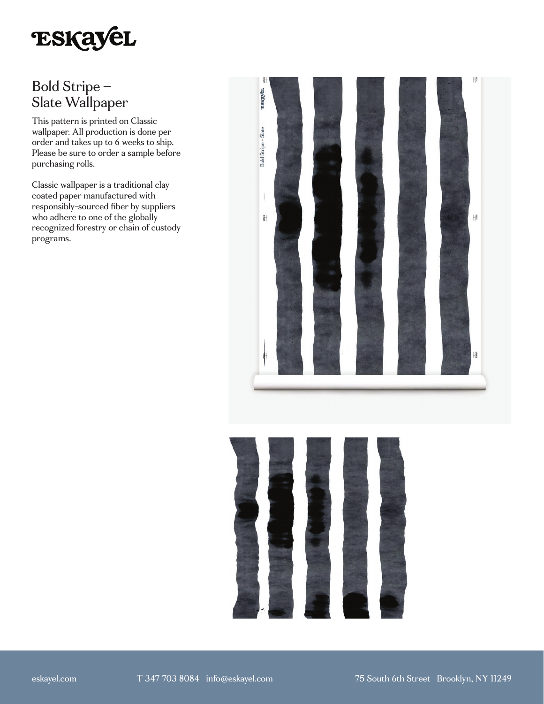

# Bold Stripe – Slate Wallpaper

This pattern is printed on Classic wallpaper. All production is done per order and takes up to 6 weeks to ship. Please be sure to order a sample before purchasing rolls.

Classic wallpaper is a traditional clay coated paper manufactured with responsibly-sourced fiber by suppliers who adhere to one of the globally recognized forestry or chain of custody programs.



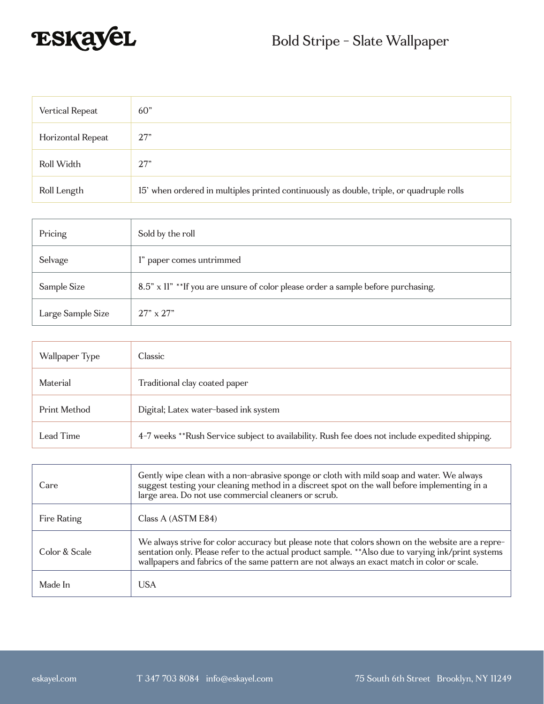

| Vertical Repeat   | 60 <sup>"</sup>                                                                          |
|-------------------|------------------------------------------------------------------------------------------|
| Horizontal Repeat | 27"                                                                                      |
| Roll Width        | 27"                                                                                      |
| Roll Length       | 15' when ordered in multiples printed continuously as double, triple, or quadruple rolls |

| Pricing           | Sold by the roll                                                                  |
|-------------------|-----------------------------------------------------------------------------------|
| Selvage           | l" paper comes untrimmed                                                          |
| Sample Size       | 8.5" x 11" ** If you are unsure of color please order a sample before purchasing. |
| Large Sample Size | $27" \times 27"$                                                                  |

| Wallpaper Type | Classic                                                                                         |
|----------------|-------------------------------------------------------------------------------------------------|
| Material       | Traditional clay coated paper                                                                   |
| Print Method   | Digital; Latex water-based ink system                                                           |
| Lead Time      | 4-7 weeks **Rush Service subject to availability. Rush fee does not include expedited shipping. |

| Care          | Gently wipe clean with a non-abrasive sponge or cloth with mild soap and water. We always<br>suggest testing your cleaning method in a discreet spot on the wall before implementing in a<br>large area. Do not use commercial cleaners or scrub.                                                       |
|---------------|---------------------------------------------------------------------------------------------------------------------------------------------------------------------------------------------------------------------------------------------------------------------------------------------------------|
| Fire Rating   | Class A (ASTM E84)                                                                                                                                                                                                                                                                                      |
| Color & Scale | We always strive for color accuracy but please note that colors shown on the website are a repre-<br>sentation only. Please refer to the actual product sample. ** Also due to varying ink/print systems<br>wallpapers and fabrics of the same pattern are not always an exact match in color or scale. |
| Made In       | <b>USA</b>                                                                                                                                                                                                                                                                                              |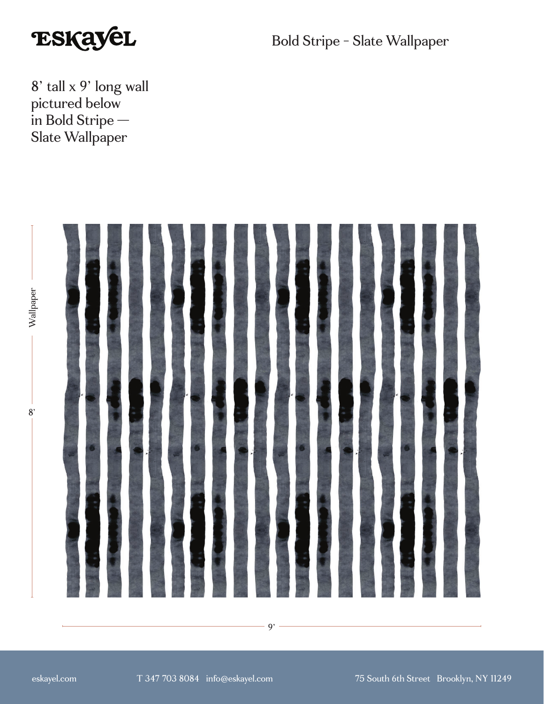

Bold Stripe - Slate Wallpaper

8' tall x 9' long wall pictured below in Bold Stripe — Slate Wallpaper



 $9' -$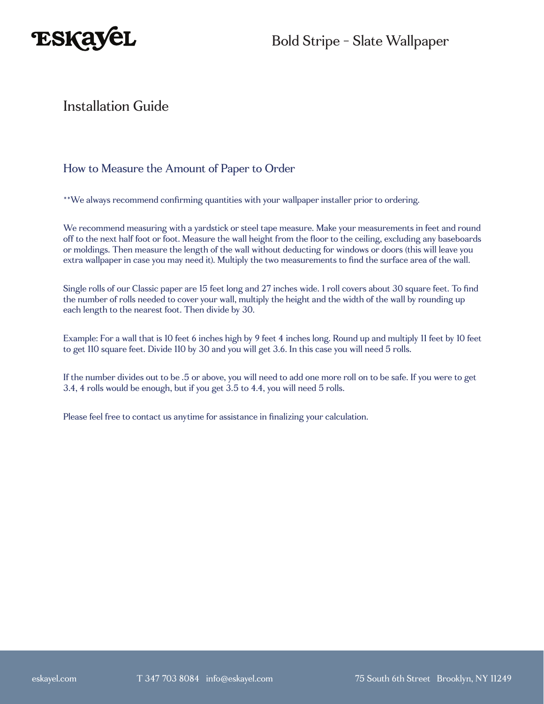

### Installation Guide

### How to Measure the Amount of Paper to Order

\*\*We always recommend confirming quantities with your wallpaper installer prior to ordering.

We recommend measuring with a yardstick or steel tape measure. Make your measurements in feet and round off to the next half foot or foot. Measure the wall height from the floor to the ceiling, excluding any baseboards or moldings. Then measure the length of the wall without deducting for windows or doors (this will leave you extra wallpaper in case you may need it). Multiply the two measurements to find the surface area of the wall.

Single rolls of our Classic paper are 15 feet long and 27 inches wide. 1 roll covers about 30 square feet. To find the number of rolls needed to cover your wall, multiply the height and the width of the wall by rounding up each length to the nearest foot. Then divide by 30.

Example: For a wall that is 10 feet 6 inches high by 9 feet 4 inches long. Round up and multiply 11 feet by 10 feet to get 110 square feet. Divide 110 by 30 and you will get 3.6. In this case you will need 5 rolls.

If the number divides out to be .5 or above, you will need to add one more roll on to be safe. If you were to get 3.4, 4 rolls would be enough, but if you get 3.5 to 4.4, you will need 5 rolls.

Please feel free to contact us anytime for assistance in finalizing your calculation.